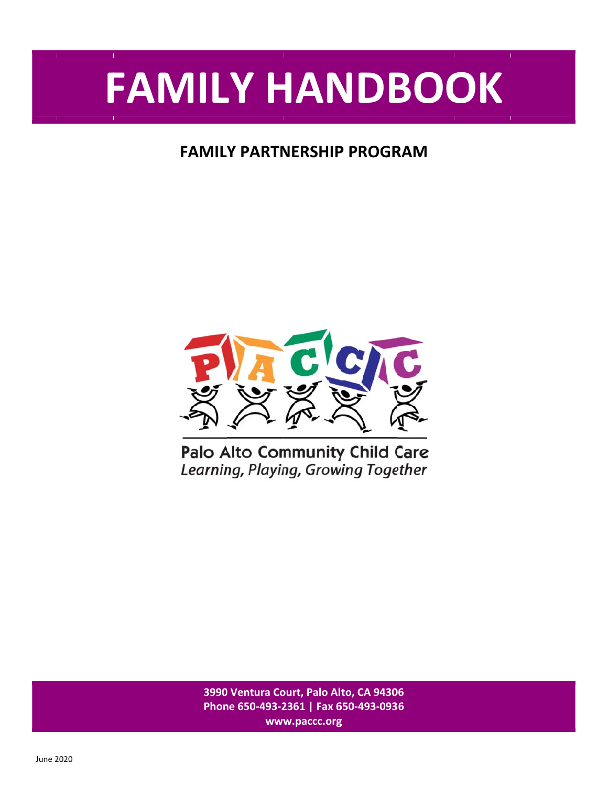# FAMILY HANDBOOK

# **FAMILY PARTNERSHIP PROGRAM**



**3990 0 Ventura Co ourt, Palo Al to, CA 9430 06 Phon ne 650‐493‐2 2361 | Fax 6 650‐493‐093 36 www w.paccc.org**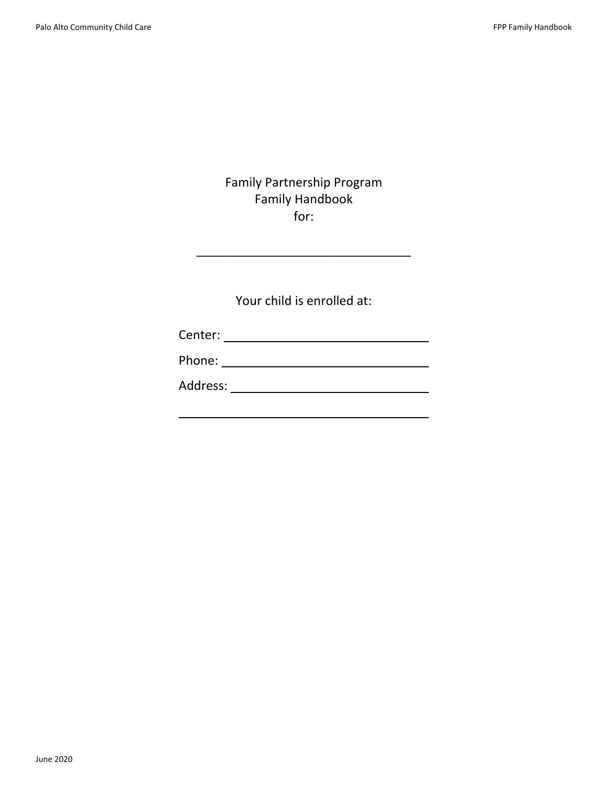## Family Partnership Program Family Handbook for:

\_\_\_\_\_\_\_\_\_\_\_\_\_\_\_\_\_\_\_\_\_\_\_\_\_\_\_\_\_\_\_

Your child is enrolled at:

| Center: |
|---------|
|---------|

| Phone: |  |
|--------|--|
|        |  |

Address: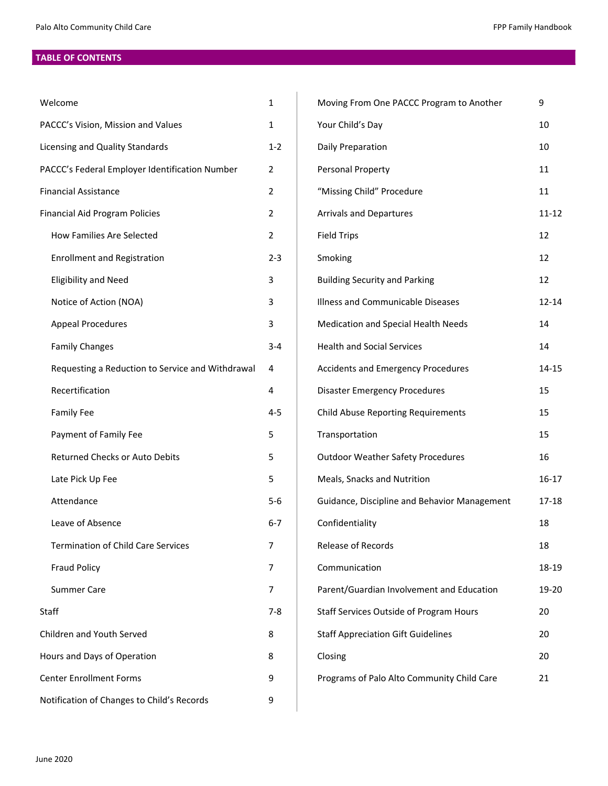## **TABLE OF CONTENTS**

| Welcome                                          |                | Moving From One PACCC Program to Another     |           |
|--------------------------------------------------|----------------|----------------------------------------------|-----------|
| PACCC's Vision, Mission and Values               |                | Your Child's Day                             |           |
| Licensing and Quality Standards                  |                | Daily Preparation                            | 10        |
| PACCC's Federal Employer Identification Number   |                | Personal Property                            | 11        |
| <b>Financial Assistance</b>                      | 2              | "Missing Child" Procedure                    | 11        |
| <b>Financial Aid Program Policies</b>            | $\overline{2}$ | <b>Arrivals and Departures</b>               | $11 - 12$ |
| <b>How Families Are Selected</b>                 | $\overline{2}$ | <b>Field Trips</b>                           | 12        |
| <b>Enrollment and Registration</b>               | $2 - 3$        | Smoking                                      | 12        |
| <b>Eligibility and Need</b>                      | 3              | <b>Building Security and Parking</b>         | 12        |
| Notice of Action (NOA)                           | 3              | Illness and Communicable Diseases            | $12 - 14$ |
| <b>Appeal Procedures</b>                         | 3              | Medication and Special Health Needs          | 14        |
| <b>Family Changes</b>                            | $3 - 4$        | <b>Health and Social Services</b>            | 14        |
| Requesting a Reduction to Service and Withdrawal | 4              | <b>Accidents and Emergency Procedures</b>    | 14-15     |
| Recertification                                  | 4              | <b>Disaster Emergency Procedures</b>         | 15        |
| <b>Family Fee</b>                                | $4 - 5$        | <b>Child Abuse Reporting Requirements</b>    | 15        |
| Payment of Family Fee                            | 5              | Transportation                               | 15        |
| Returned Checks or Auto Debits                   | 5              | <b>Outdoor Weather Safety Procedures</b>     | 16        |
| Late Pick Up Fee                                 | 5              | Meals, Snacks and Nutrition                  | $16-17$   |
| Attendance                                       | $5-6$          | Guidance, Discipline and Behavior Management | $17 - 18$ |
| Leave of Absence                                 | $6 - 7$        | Confidentiality                              | 18        |
| <b>Termination of Child Care Services</b>        | 7              | Release of Records                           | 18        |
| <b>Fraud Policy</b>                              | 7              | Communication                                | 18-19     |
| <b>Summer Care</b>                               | $\overline{7}$ | Parent/Guardian Involvement and Education    | 19-20     |
| Staff                                            | $7 - 8$        | Staff Services Outside of Program Hours      | 20        |
| Children and Youth Served                        | 8              | <b>Staff Appreciation Gift Guidelines</b>    | 20        |
| Hours and Days of Operation                      |                | Closing                                      | 20        |
| <b>Center Enrollment Forms</b>                   |                | Programs of Palo Alto Community Child Care   | 21        |
| Notification of Changes to Child's Records       |                |                                              |           |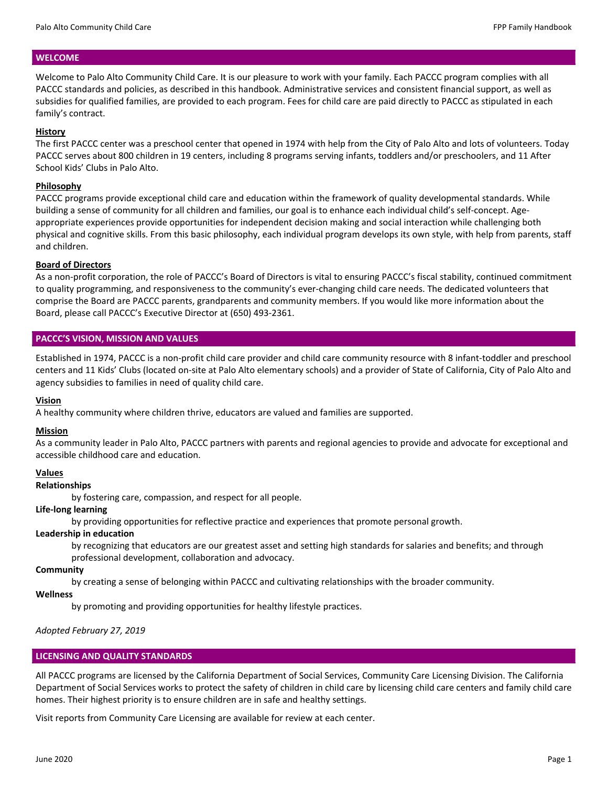## **WELCOME**

Welcome to Palo Alto Community Child Care. It is our pleasure to work with your family. Each PACCC program complies with all PACCC standards and policies, as described in this handbook. Administrative services and consistent financial support, as well as subsidies for qualified families, are provided to each program. Fees for child care are paid directly to PACCC as stipulated in each family's contract.

## **History**

The first PACCC center was a preschool center that opened in 1974 with help from the City of Palo Alto and lots of volunteers. Today PACCC serves about 800 children in 19 centers, including 8 programs serving infants, toddlers and/or preschoolers, and 11 After School Kids' Clubs in Palo Alto.

## **Philosophy**

PACCC programs provide exceptional child care and education within the framework of quality developmental standards. While building a sense of community for all children and families, our goal is to enhance each individual child's self-concept. Ageappropriate experiences provide opportunities for independent decision making and social interaction while challenging both physical and cognitive skills. From this basic philosophy, each individual program develops its own style, with help from parents, staff and children.

## **Board of Directors**

As a non‐profit corporation, the role of PACCC's Board of Directors is vital to ensuring PACCC's fiscal stability, continued commitment to quality programming, and responsiveness to the community's ever‐changing child care needs. The dedicated volunteers that comprise the Board are PACCC parents, grandparents and community members. If you would like more information about the Board, please call PACCC's Executive Director at (650) 493‐2361.

## **PACCC'S VISION, MISSION AND VALUES**

Established in 1974, PACCC is a non-profit child care provider and child care community resource with 8 infant-toddler and preschool centers and 11 Kids' Clubs (located on‐site at Palo Alto elementary schools) and a provider of State of California, City of Palo Alto and agency subsidies to families in need of quality child care.

## **Vision**

A healthy community where children thrive, educators are valued and families are supported.

## **Mission**

As a community leader in Palo Alto, PACCC partners with parents and regional agencies to provide and advocate for exceptional and accessible childhood care and education.

## **Values**

## **Relationships**

by fostering care, compassion, and respect for all people.

## **Life‐long learning**

by providing opportunities for reflective practice and experiences that promote personal growth.

## **Leadership in education**

by recognizing that educators are our greatest asset and setting high standards for salaries and benefits; and through professional development, collaboration and advocacy.

## **Community**

by creating a sense of belonging within PACCC and cultivating relationships with the broader community.

## **Wellness**

by promoting and providing opportunities for healthy lifestyle practices.

*Adopted February 27, 2019* 

## **LICENSING AND QUALITY STANDARDS**

All PACCC programs are licensed by the California Department of Social Services, Community Care Licensing Division. The California Department of Social Services works to protect the safety of children in child care by licensing child care centers and family child care homes. Their highest priority is to ensure children are in safe and healthy settings.

Visit reports from Community Care Licensing are available for review at each center.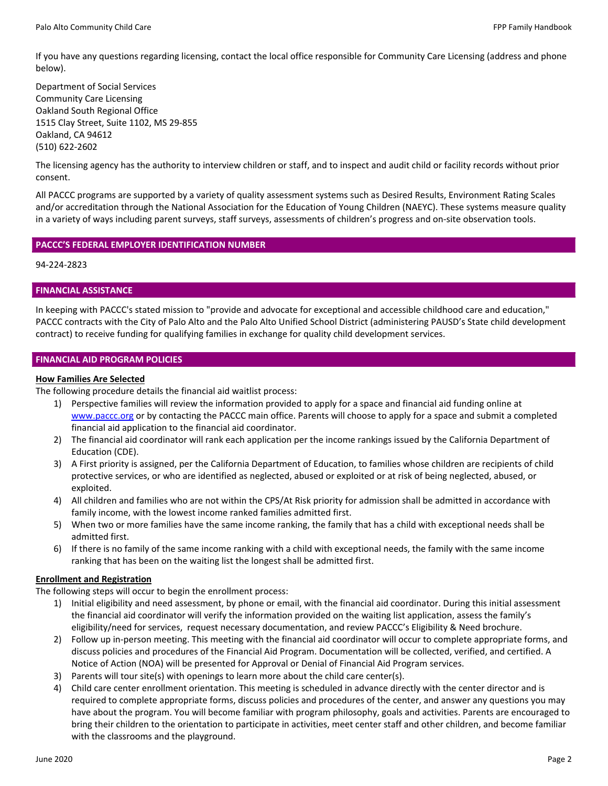If you have any questions regarding licensing, contact the local office responsible for Community Care Licensing (address and phone below).

Department of Social Services Community Care Licensing Oakland South Regional Office 1515 Clay Street, Suite 1102, MS 29‐855 Oakland, CA 94612 (510) 622‐2602

The licensing agency has the authority to interview children or staff, and to inspect and audit child or facility records without prior consent.

All PACCC programs are supported by a variety of quality assessment systems such as Desired Results, Environment Rating Scales and/or accreditation through the National Association for the Education of Young Children (NAEYC). These systems measure quality in a variety of ways including parent surveys, staff surveys, assessments of children's progress and on‐site observation tools.

## **PACCC'S FEDERAL EMPLOYER IDENTIFICATION NUMBER**

94‐224‐2823

## **FINANCIAL ASSISTANCE**

In keeping with PACCC's stated mission to "provide and advocate for exceptional and accessible childhood care and education," PACCC contracts with the City of Palo Alto and the Palo Alto Unified School District (administering PAUSD's State child development contract) to receive funding for qualifying families in exchange for quality child development services.

## **FINANCIAL AID PROGRAM POLICIES**

## **How Families Are Selected**

The following procedure details the financial aid waitlist process:

- 1) Perspective families will review the information provided to apply for a space and financial aid funding online at www.paccc.org or by contacting the PACCC main office. Parents will choose to apply for a space and submit a completed financial aid application to the financial aid coordinator.
- 2) The financial aid coordinator will rank each application per the income rankings issued by the California Department of Education (CDE).
- 3) A First priority is assigned, per the California Department of Education, to families whose children are recipients of child protective services, or who are identified as neglected, abused or exploited or at risk of being neglected, abused, or exploited.
- 4) All children and families who are not within the CPS/At Risk priority for admission shall be admitted in accordance with family income, with the lowest income ranked families admitted first.
- 5) When two or more families have the same income ranking, the family that has a child with exceptional needs shall be admitted first.
- 6) If there is no family of the same income ranking with a child with exceptional needs, the family with the same income ranking that has been on the waiting list the longest shall be admitted first.

## **Enrollment and Registration**

The following steps will occur to begin the enrollment process:

- 1) Initial eligibility and need assessment, by phone or email, with the financial aid coordinator. During this initial assessment the financial aid coordinator will verify the information provided on the waiting list application, assess the family's eligibility/need for services, request necessary documentation, and review PACCC's Eligibility & Need brochure.
- 2) Follow up in-person meeting. This meeting with the financial aid coordinator will occur to complete appropriate forms, and discuss policies and procedures of the Financial Aid Program. Documentation will be collected, verified, and certified. A Notice of Action (NOA) will be presented for Approval or Denial of Financial Aid Program services.
- 3) Parents will tour site(s) with openings to learn more about the child care center(s).
- 4) Child care center enrollment orientation. This meeting is scheduled in advance directly with the center director and is required to complete appropriate forms, discuss policies and procedures of the center, and answer any questions you may have about the program. You will become familiar with program philosophy, goals and activities. Parents are encouraged to bring their children to the orientation to participate in activities, meet center staff and other children, and become familiar with the classrooms and the playground.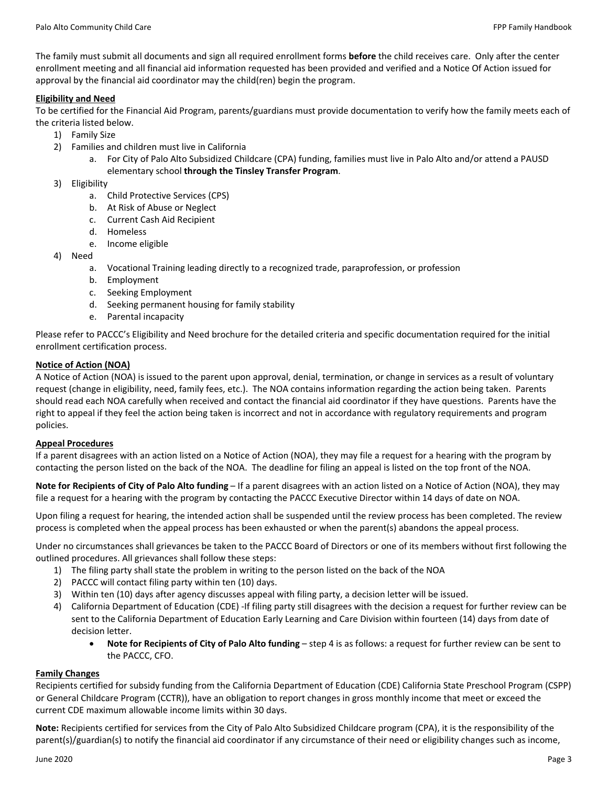The family must submit all documents and sign all required enrollment forms **before** the child receives care. Only after the center enrollment meeting and all financial aid information requested has been provided and verified and a Notice Of Action issued for approval by the financial aid coordinator may the child(ren) begin the program.

## **Eligibility and Need**

To be certified for the Financial Aid Program, parents/guardians must provide documentation to verify how the family meets each of the criteria listed below.

- 1) Family Size
- 2) Families and children must live in California
	- a. For City of Palo Alto Subsidized Childcare (CPA) funding, families must live in Palo Alto and/or attend a PAUSD elementary school **through the Tinsley Transfer Program**.
- 3) Eligibility
	- a. Child Protective Services (CPS)
	- b. At Risk of Abuse or Neglect
	- c. Current Cash Aid Recipient
	- d. Homeless
	- e. Income eligible
- 4) Need
	- a. Vocational Training leading directly to a recognized trade, paraprofession, or profession
	- b. Employment
	- c. Seeking Employment
	- d. Seeking permanent housing for family stability
	- e. Parental incapacity

Please refer to PACCC's Eligibility and Need brochure for the detailed criteria and specific documentation required for the initial enrollment certification process.

## **Notice of Action (NOA)**

A Notice of Action (NOA) is issued to the parent upon approval, denial, termination, or change in services as a result of voluntary request (change in eligibility, need, family fees, etc.). The NOA contains information regarding the action being taken. Parents should read each NOA carefully when received and contact the financial aid coordinator if they have questions. Parents have the right to appeal if they feel the action being taken is incorrect and not in accordance with regulatory requirements and program policies.

## **Appeal Procedures**

If a parent disagrees with an action listed on a Notice of Action (NOA), they may file a request for a hearing with the program by contacting the person listed on the back of the NOA. The deadline for filing an appeal is listed on the top front of the NOA.

**Note for Recipients of City of Palo Alto funding** – If a parent disagrees with an action listed on a Notice of Action (NOA), they may file a request for a hearing with the program by contacting the PACCC Executive Director within 14 days of date on NOA.

Upon filing a request for hearing, the intended action shall be suspended until the review process has been completed. The review process is completed when the appeal process has been exhausted or when the parent(s) abandons the appeal process.

Under no circumstances shall grievances be taken to the PACCC Board of Directors or one of its members without first following the outlined procedures. All grievances shall follow these steps:

- 1) The filing party shall state the problem in writing to the person listed on the back of the NOA
- 2) PACCC will contact filing party within ten (10) days.
- 3) Within ten (10) days after agency discusses appeal with filing party, a decision letter will be issued.
- 4) California Department of Education (CDE) ‐If filing party still disagrees with the decision a request for further review can be sent to the California Department of Education Early Learning and Care Division within fourteen (14) days from date of decision letter.
	- **Note for Recipients of City of Palo Alto funding** step 4 is as follows: a request for further review can be sent to the PACCC, CFO.

## **Family Changes**

Recipients certified for subsidy funding from the California Department of Education (CDE) California State Preschool Program (CSPP) or General Childcare Program (CCTR)), have an obligation to report changes in gross monthly income that meet or exceed the current CDE maximum allowable income limits within 30 days.

**Note:** Recipients certified for services from the City of Palo Alto Subsidized Childcare program (CPA), it is the responsibility of the parent(s)/guardian(s) to notify the financial aid coordinator if any circumstance of their need or eligibility changes such as income,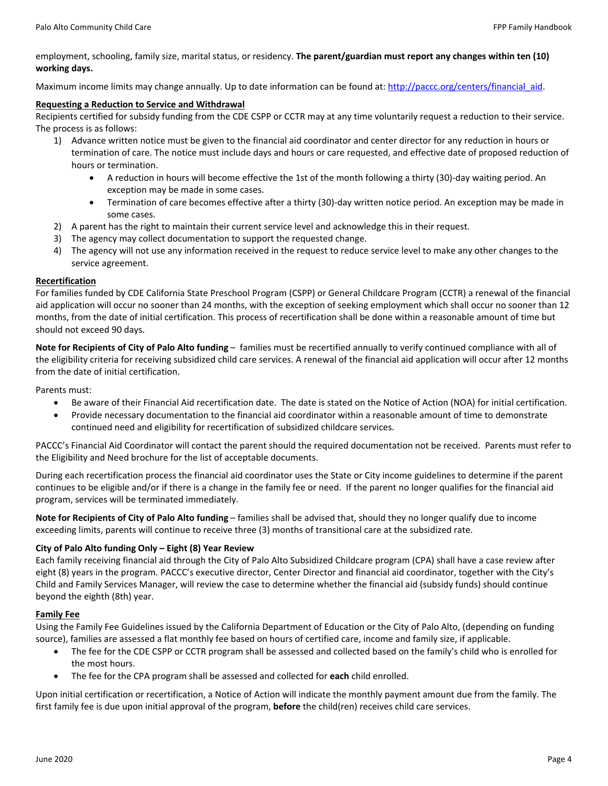employment, schooling, family size, marital status, or residency. **The parent/guardian must report any changes within ten (10) working days.**

Maximum income limits may change annually. Up to date information can be found at: http://paccc.org/centers/financial aid.

#### **Requesting a Reduction to Service and Withdrawal**

Recipients certified for subsidy funding from the CDE CSPP or CCTR may at any time voluntarily request a reduction to their service. The process is as follows:

- 1) Advance written notice must be given to the financial aid coordinator and center director for any reduction in hours or termination of care. The notice must include days and hours or care requested, and effective date of proposed reduction of hours or termination.
	- A reduction in hours will become effective the 1st of the month following a thirty (30)‐day waiting period. An exception may be made in some cases.
	- Termination of care becomes effective after a thirty (30)‐day written notice period. An exception may be made in some cases.
- 2) A parent has the right to maintain their current service level and acknowledge this in their request.
- 3) The agency may collect documentation to support the requested change.
- 4) The agency will not use any information received in the request to reduce service level to make any other changes to the service agreement.

## **Recertification**

For families funded by CDE California State Preschool Program (CSPP) or General Childcare Program (CCTR) a renewal of the financial aid application will occur no sooner than 24 months, with the exception of seeking employment which shall occur no sooner than 12 months, from the date of initial certification. This process of recertification shall be done within a reasonable amount of time but should not exceed 90 days.

**Note for Recipients of City of Palo Alto funding** – families must be recertified annually to verify continued compliance with all of the eligibility criteria for receiving subsidized child care services. A renewal of the financial aid application will occur after 12 months from the date of initial certification.

## Parents must:

- Be aware of their Financial Aid recertification date. The date is stated on the Notice of Action (NOA) for initial certification.
- Provide necessary documentation to the financial aid coordinator within a reasonable amount of time to demonstrate continued need and eligibility for recertification of subsidized childcare services.

PACCC's Financial Aid Coordinator will contact the parent should the required documentation not be received. Parents must refer to the Eligibility and Need brochure for the list of acceptable documents.

During each recertification process the financial aid coordinator uses the State or City income guidelines to determine if the parent continues to be eligible and/or if there is a change in the family fee or need. If the parent no longer qualifies for the financial aid program, services will be terminated immediately.

**Note for Recipients of City of Palo Alto funding** – families shall be advised that, should they no longer qualify due to income exceeding limits, parents will continue to receive three (3) months of transitional care at the subsidized rate.

## **City of Palo Alto funding Only – Eight (8) Year Review**

Each family receiving financial aid through the City of Palo Alto Subsidized Childcare program (CPA) shall have a case review after eight (8) years in the program. PACCC's executive director, Center Director and financial aid coordinator, together with the City's Child and Family Services Manager, will review the case to determine whether the financial aid (subsidy funds) should continue beyond the eighth (8th) year.

## **Family Fee**

Using the Family Fee Guidelines issued by the California Department of Education or the City of Palo Alto, (depending on funding source), families are assessed a flat monthly fee based on hours of certified care, income and family size, if applicable.

- The fee for the CDE CSPP or CCTR program shall be assessed and collected based on the family's child who is enrolled for the most hours.
- The fee for the CPA program shall be assessed and collected for **each** child enrolled.

Upon initial certification or recertification, a Notice of Action will indicate the monthly payment amount due from the family. The first family fee is due upon initial approval of the program, **before** the child(ren) receives child care services.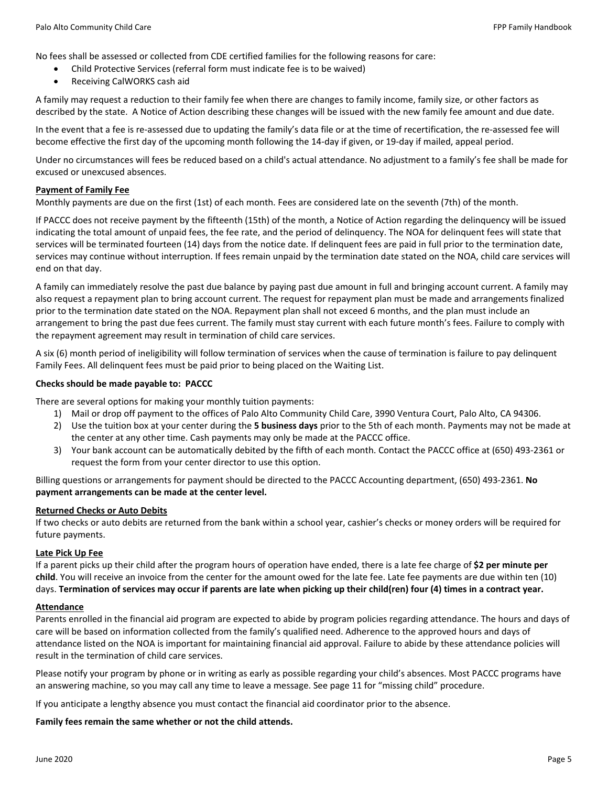No fees shall be assessed or collected from CDE certified families for the following reasons for care:

- Child Protective Services (referral form must indicate fee is to be waived)
- Receiving CalWORKS cash aid

A family may request a reduction to their family fee when there are changes to family income, family size, or other factors as described by the state. A Notice of Action describing these changes will be issued with the new family fee amount and due date.

In the event that a fee is re‐assessed due to updating the family's data file or at the time of recertification, the re‐assessed fee will become effective the first day of the upcoming month following the 14‐day if given, or 19‐day if mailed, appeal period.

Under no circumstances will fees be reduced based on a child's actual attendance. No adjustment to a family's fee shall be made for excused or unexcused absences.

## **Payment of Family Fee**

Monthly payments are due on the first (1st) of each month. Fees are considered late on the seventh (7th) of the month.

If PACCC does not receive payment by the fifteenth (15th) of the month, a Notice of Action regarding the delinquency will be issued indicating the total amount of unpaid fees, the fee rate, and the period of delinquency. The NOA for delinquent fees will state that services will be terminated fourteen (14) days from the notice date. If delinquent fees are paid in full prior to the termination date, services may continue without interruption. If fees remain unpaid by the termination date stated on the NOA, child care services will end on that day.

A family can immediately resolve the past due balance by paying past due amount in full and bringing account current. A family may also request a repayment plan to bring account current. The request for repayment plan must be made and arrangements finalized prior to the termination date stated on the NOA. Repayment plan shall not exceed 6 months, and the plan must include an arrangement to bring the past due fees current. The family must stay current with each future month's fees. Failure to comply with the repayment agreement may result in termination of child care services.

A six (6) month period of ineligibility will follow termination of services when the cause of termination is failure to pay delinquent Family Fees. All delinquent fees must be paid prior to being placed on the Waiting List.

## **Checks should be made payable to: PACCC**

There are several options for making your monthly tuition payments:

- 1) Mail or drop off payment to the offices of Palo Alto Community Child Care, 3990 Ventura Court, Palo Alto, CA 94306.
- 2) Use the tuition box at your center during the **5 business days** prior to the 5th of each month. Payments may not be made at the center at any other time. Cash payments may only be made at the PACCC office.
- 3) Your bank account can be automatically debited by the fifth of each month. Contact the PACCC office at (650) 493‐2361 or request the form from your center director to use this option.

Billing questions or arrangements for payment should be directed to the PACCC Accounting department, (650) 493‐2361. **No payment arrangements can be made at the center level.**

## **Returned Checks or Auto Debits**

If two checks or auto debits are returned from the bank within a school year, cashier's checks or money orders will be required for future payments.

## **Late Pick Up Fee**

If a parent picks up their child after the program hours of operation have ended, there is a late fee charge of **\$2 per minute per child**. You will receive an invoice from the center for the amount owed for the late fee. Late fee payments are due within ten (10) days. **Termination of services may occur if parents are late when picking up their child(ren) four (4) times in a contract year.**

## **Attendance**

Parents enrolled in the financial aid program are expected to abide by program policies regarding attendance. The hours and days of care will be based on information collected from the family's qualified need. Adherence to the approved hours and days of attendance listed on the NOA is important for maintaining financial aid approval. Failure to abide by these attendance policies will result in the termination of child care services.

Please notify your program by phone or in writing as early as possible regarding your child's absences. Most PACCC programs have an answering machine, so you may call any time to leave a message. See page 11 for "missing child" procedure.

If you anticipate a lengthy absence you must contact the financial aid coordinator prior to the absence.

## **Family fees remain the same whether or not the child attends.**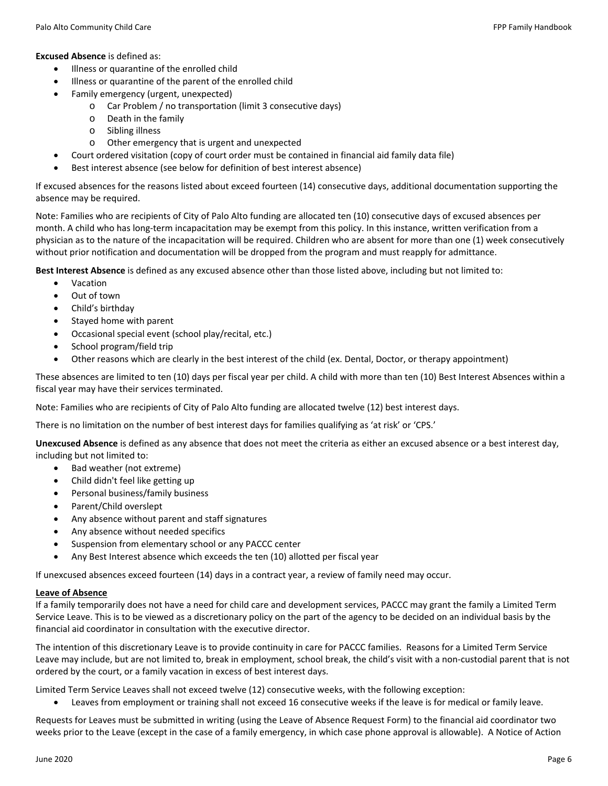## **Excused Absence** is defined as:

- $\bullet$  Illness or quarantine of the enrolled child
- Illness or quarantine of the parent of the enrolled child
	- Family emergency (urgent, unexpected)
		- o Car Problem / no transportation (limit 3 consecutive days)
		- o Death in the family
		- o Sibling illness
		- o Other emergency that is urgent and unexpected
- Court ordered visitation (copy of court order must be contained in financial aid family data file)
- Best interest absence (see below for definition of best interest absence)

If excused absences for the reasons listed about exceed fourteen (14) consecutive days, additional documentation supporting the absence may be required.

Note: Families who are recipients of City of Palo Alto funding are allocated ten (10) consecutive days of excused absences per month. A child who has long-term incapacitation may be exempt from this policy. In this instance, written verification from a physician as to the nature of the incapacitation will be required. Children who are absent for more than one (1) week consecutively without prior notification and documentation will be dropped from the program and must reapply for admittance.

**Best Interest Absence** is defined as any excused absence other than those listed above, including but not limited to:

- Vacation
- Out of town
- Child's birthday
- Stayed home with parent
- Occasional special event (school play/recital, etc.)
- School program/field trip
- Other reasons which are clearly in the best interest of the child (ex. Dental, Doctor, or therapy appointment)

These absences are limited to ten (10) days per fiscal year per child. A child with more than ten (10) Best Interest Absences within a fiscal year may have their services terminated.

Note: Families who are recipients of City of Palo Alto funding are allocated twelve (12) best interest days.

There is no limitation on the number of best interest days for families qualifying as 'at risk' or 'CPS.'

**Unexcused Absence** is defined as any absence that does not meet the criteria as either an excused absence or a best interest day, including but not limited to:

- Bad weather (not extreme)
- Child didn't feel like getting up
- Personal business/family business
- Parent/Child overslept
- Any absence without parent and staff signatures
- Any absence without needed specifics
- Suspension from elementary school or any PACCC center
- Any Best Interest absence which exceeds the ten (10) allotted per fiscal year

If unexcused absences exceed fourteen (14) days in a contract year, a review of family need may occur.

## **Leave of Absence**

If a family temporarily does not have a need for child care and development services, PACCC may grant the family a Limited Term Service Leave. This is to be viewed as a discretionary policy on the part of the agency to be decided on an individual basis by the financial aid coordinator in consultation with the executive director.

The intention of this discretionary Leave is to provide continuity in care for PACCC families. Reasons for a Limited Term Service Leave may include, but are not limited to, break in employment, school break, the child's visit with a non-custodial parent that is not ordered by the court, or a family vacation in excess of best interest days.

Limited Term Service Leaves shall not exceed twelve (12) consecutive weeks, with the following exception:

Leaves from employment or training shall not exceed 16 consecutive weeks if the leave is for medical or family leave.

Requests for Leaves must be submitted in writing (using the Leave of Absence Request Form) to the financial aid coordinator two weeks prior to the Leave (except in the case of a family emergency, in which case phone approval is allowable). A Notice of Action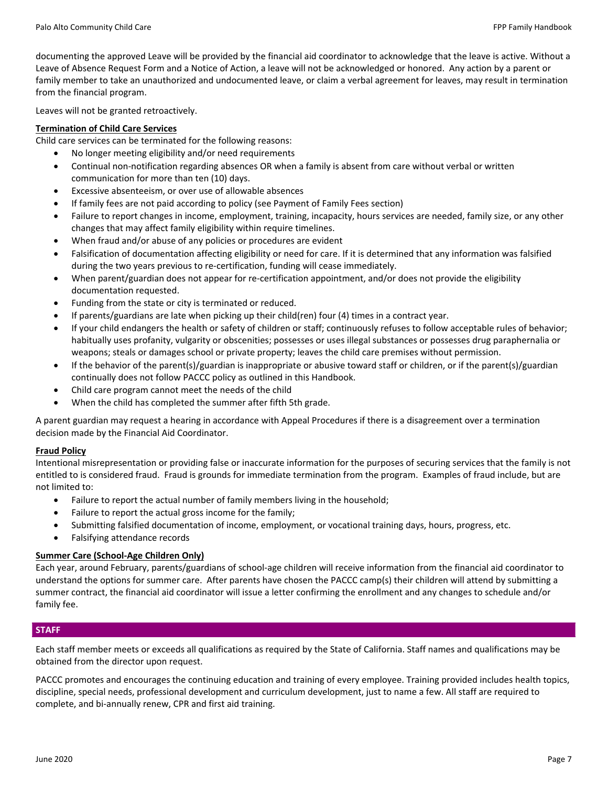documenting the approved Leave will be provided by the financial aid coordinator to acknowledge that the leave is active. Without a Leave of Absence Request Form and a Notice of Action, a leave will not be acknowledged or honored. Any action by a parent or family member to take an unauthorized and undocumented leave, or claim a verbal agreement for leaves, may result in termination from the financial program.

Leaves will not be granted retroactively.

## **Termination of Child Care Services**

Child care services can be terminated for the following reasons:

- No longer meeting eligibility and/or need requirements
- Continual non‐notification regarding absences OR when a family is absent from care without verbal or written communication for more than ten (10) days.
- Excessive absenteeism, or over use of allowable absences
- If family fees are not paid according to policy (see Payment of Family Fees section)
- Failure to report changes in income, employment, training, incapacity, hours services are needed, family size, or any other changes that may affect family eligibility within require timelines.
- When fraud and/or abuse of any policies or procedures are evident
- Falsification of documentation affecting eligibility or need for care. If it is determined that any information was falsified during the two years previous to re‐certification, funding will cease immediately.
- When parent/guardian does not appear for re-certification appointment, and/or does not provide the eligibility documentation requested.
- Funding from the state or city is terminated or reduced.
- If parents/guardians are late when picking up their child(ren) four (4) times in a contract year.
- If your child endangers the health or safety of children or staff; continuously refuses to follow acceptable rules of behavior; habitually uses profanity, vulgarity or obscenities; possesses or uses illegal substances or possesses drug paraphernalia or weapons; steals or damages school or private property; leaves the child care premises without permission.
- If the behavior of the parent(s)/guardian is inappropriate or abusive toward staff or children, or if the parent(s)/guardian continually does not follow PACCC policy as outlined in this Handbook.
- Child care program cannot meet the needs of the child
- When the child has completed the summer after fifth 5th grade.

A parent guardian may request a hearing in accordance with Appeal Procedures if there is a disagreement over a termination decision made by the Financial Aid Coordinator.

## **Fraud Policy**

Intentional misrepresentation or providing false or inaccurate information for the purposes of securing services that the family is not entitled to is considered fraud. Fraud is grounds for immediate termination from the program. Examples of fraud include, but are not limited to:

- Failure to report the actual number of family members living in the household;
- Failure to report the actual gross income for the family;
- Submitting falsified documentation of income, employment, or vocational training days, hours, progress, etc.
- Falsifying attendance records

## **Summer Care (School‐Age Children Only)**

Each year, around February, parents/guardians of school‐age children will receive information from the financial aid coordinator to understand the options for summer care. After parents have chosen the PACCC camp(s) their children will attend by submitting a summer contract, the financial aid coordinator will issue a letter confirming the enrollment and any changes to schedule and/or family fee.

## **STAFF**

Each staff member meets or exceeds all qualifications as required by the State of California. Staff names and qualifications may be obtained from the director upon request.

PACCC promotes and encourages the continuing education and training of every employee. Training provided includes health topics, discipline, special needs, professional development and curriculum development, just to name a few. All staff are required to complete, and bi‐annually renew, CPR and first aid training.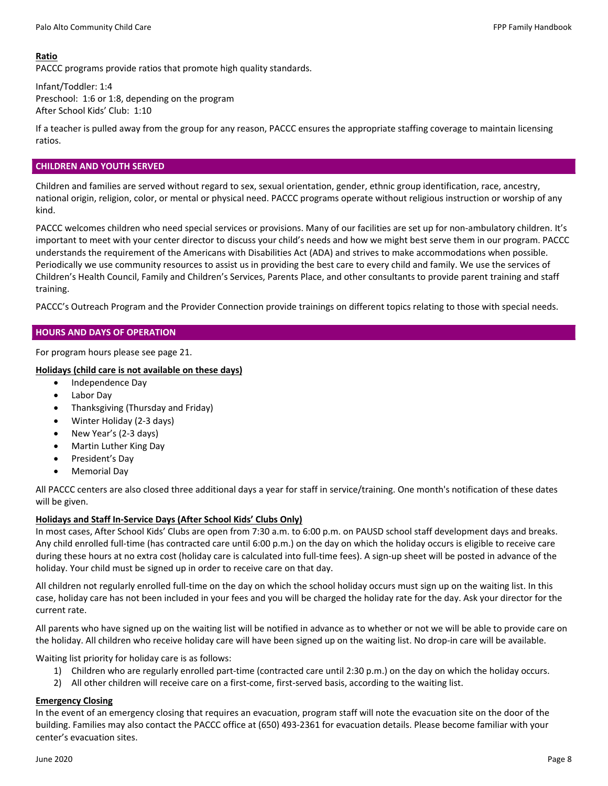## **Ratio**

PACCC programs provide ratios that promote high quality standards.

Infant/Toddler: 1:4 Preschool: 1:6 or 1:8, depending on the program After School Kids' Club: 1:10

If a teacher is pulled away from the group for any reason, PACCC ensures the appropriate staffing coverage to maintain licensing ratios.

## **CHILDREN AND YOUTH SERVED**

Children and families are served without regard to sex, sexual orientation, gender, ethnic group identification, race, ancestry, national origin, religion, color, or mental or physical need. PACCC programs operate without religious instruction or worship of any kind.

PACCC welcomes children who need special services or provisions. Many of our facilities are set up for non-ambulatory children. It's important to meet with your center director to discuss your child's needs and how we might best serve them in our program. PACCC understands the requirement of the Americans with Disabilities Act (ADA) and strives to make accommodations when possible. Periodically we use community resources to assist us in providing the best care to every child and family. We use the services of Children's Health Council, Family and Children's Services, Parents Place, and other consultants to provide parent training and staff training.

PACCC's Outreach Program and the Provider Connection provide trainings on different topics relating to those with special needs.

## **HOURS AND DAYS OF OPERATION**

For program hours please see page 21.

## **Holidays (child care is not available on these days)**

- Independence Day
- Labor Day
- Thanksgiving (Thursday and Friday)
- Winter Holiday (2‐3 days)
- New Year's (2‐3 days)
- Martin Luther King Day
- President's Day
- Memorial Day

All PACCC centers are also closed three additional days a year for staff in service/training. One month's notification of these dates will be given.

## **Holidays and Staff In‐Service Days (After School Kids' Clubs Only)**

In most cases, After School Kids' Clubs are open from 7:30 a.m. to 6:00 p.m. on PAUSD school staff development days and breaks. Any child enrolled full‐time (has contracted care until 6:00 p.m.) on the day on which the holiday occurs is eligible to receive care during these hours at no extra cost (holiday care is calculated into full-time fees). A sign-up sheet will be posted in advance of the holiday. Your child must be signed up in order to receive care on that day.

All children not regularly enrolled full‐time on the day on which the school holiday occurs must sign up on the waiting list. In this case, holiday care has not been included in your fees and you will be charged the holiday rate for the day. Ask your director for the current rate.

All parents who have signed up on the waiting list will be notified in advance as to whether or not we will be able to provide care on the holiday. All children who receive holiday care will have been signed up on the waiting list. No drop-in care will be available.

Waiting list priority for holiday care is as follows:

- 1) Children who are regularly enrolled part‐time (contracted care until 2:30 p.m.) on the day on which the holiday occurs.
- 2) All other children will receive care on a first-come, first-served basis, according to the waiting list.

## **Emergency Closing**

In the event of an emergency closing that requires an evacuation, program staff will note the evacuation site on the door of the building. Families may also contact the PACCC office at (650) 493‐2361 for evacuation details. Please become familiar with your center's evacuation sites.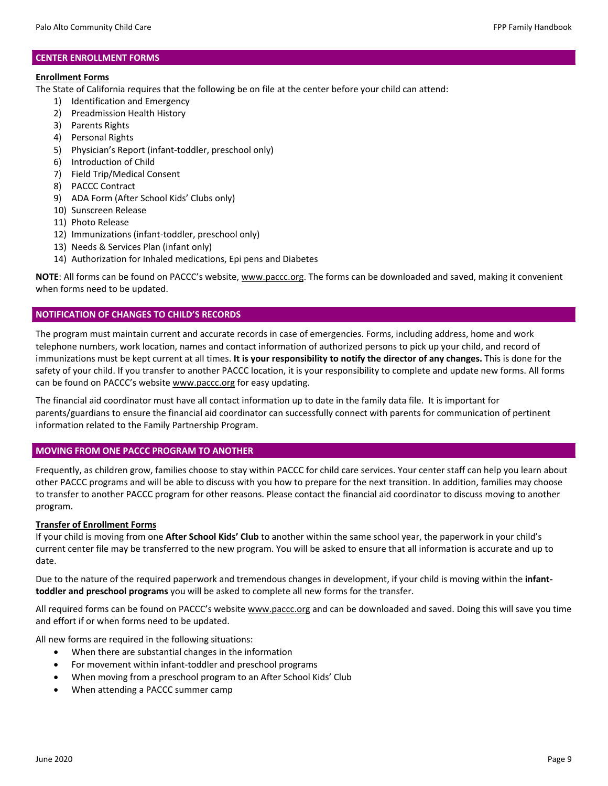## **CENTER ENROLLMENT FORMS**

## **Enrollment Forms**

The State of California requires that the following be on file at the center before your child can attend:

- 1) Identification and Emergency
- 2) Preadmission Health History
- 3) Parents Rights
- 4) Personal Rights
- 5) Physician's Report (infant‐toddler, preschool only)
- 6) Introduction of Child
- 7) Field Trip/Medical Consent
- 8) PACCC Contract
- 9) ADA Form (After School Kids' Clubs only)
- 10) Sunscreen Release
- 11) Photo Release
- 12) Immunizations (infant‐toddler, preschool only)
- 13) Needs & Services Plan (infant only)
- 14) Authorization for Inhaled medications, Epi pens and Diabetes

**NOTE**: All forms can be found on PACCC's website, www.paccc.org. The forms can be downloaded and saved, making it convenient when forms need to be updated.

## **NOTIFICATION OF CHANGES TO CHILD'S RECORDS**

The program must maintain current and accurate records in case of emergencies. Forms, including address, home and work telephone numbers, work location, names and contact information of authorized persons to pick up your child, and record of immunizations must be kept current at all times. **It is your responsibility to notify the director of any changes.** This is done for the safety of your child. If you transfer to another PACCC location, it is your responsibility to complete and update new forms. All forms can be found on PACCC's website www.paccc.org for easy updating.

The financial aid coordinator must have all contact information up to date in the family data file. It is important for parents/guardians to ensure the financial aid coordinator can successfully connect with parents for communication of pertinent information related to the Family Partnership Program.

## **MOVING FROM ONE PACCC PROGRAM TO ANOTHER**

Frequently, as children grow, families choose to stay within PACCC for child care services. Your center staff can help you learn about other PACCC programs and will be able to discuss with you how to prepare for the next transition. In addition, families may choose to transfer to another PACCC program for other reasons. Please contact the financial aid coordinator to discuss moving to another program.

## **Transfer of Enrollment Forms**

If your child is moving from one **After School Kids' Club** to another within the same school year, the paperwork in your child's current center file may be transferred to the new program. You will be asked to ensure that all information is accurate and up to date.

Due to the nature of the required paperwork and tremendous changes in development, if your child is moving within the **infant‐ toddler and preschool programs** you will be asked to complete all new forms for the transfer.

All required forms can be found on PACCC's website www.paccc.org and can be downloaded and saved. Doing this will save you time and effort if or when forms need to be updated.

All new forms are required in the following situations:

- When there are substantial changes in the information
- For movement within infant‐toddler and preschool programs
- When moving from a preschool program to an After School Kids' Club
- When attending a PACCC summer camp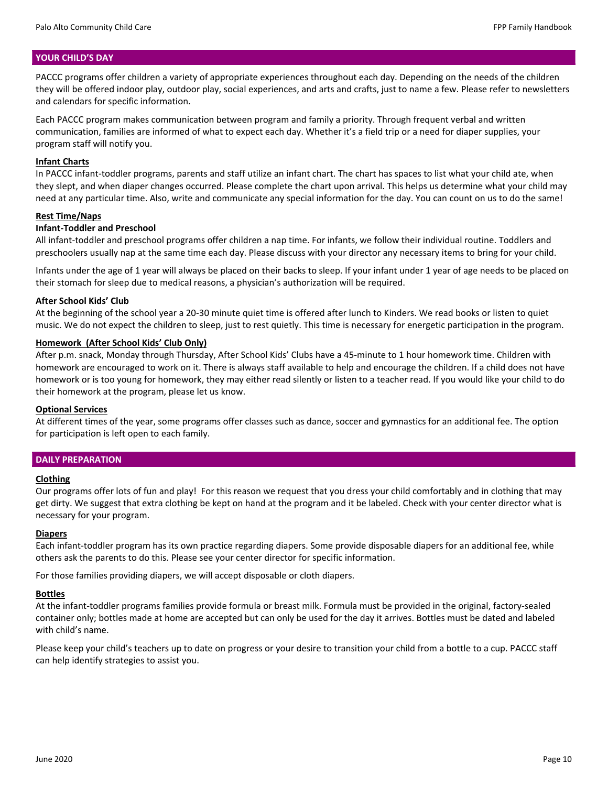#### **YOUR CHILD'S DAY**

PACCC programs offer children a variety of appropriate experiences throughout each day. Depending on the needs of the children they will be offered indoor play, outdoor play, social experiences, and arts and crafts, just to name a few. Please refer to newsletters and calendars for specific information.

Each PACCC program makes communication between program and family a priority. Through frequent verbal and written communication, families are informed of what to expect each day. Whether it's a field trip or a need for diaper supplies, your program staff will notify you.

#### **Infant Charts**

In PACCC infant-toddler programs, parents and staff utilize an infant chart. The chart has spaces to list what your child ate, when they slept, and when diaper changes occurred. Please complete the chart upon arrival. This helps us determine what your child may need at any particular time. Also, write and communicate any special information for the day. You can count on us to do the same!

#### **Rest Time/Naps**

#### **Infant‐Toddler and Preschool**

All infant‐toddler and preschool programs offer children a nap time. For infants, we follow their individual routine. Toddlers and preschoolers usually nap at the same time each day. Please discuss with your director any necessary items to bring for your child.

Infants under the age of 1 year will always be placed on their backs to sleep. If your infant under 1 year of age needs to be placed on their stomach for sleep due to medical reasons, a physician's authorization will be required.

#### **After School Kids' Club**

At the beginning of the school year a 20‐30 minute quiet time is offered after lunch to Kinders. We read books or listen to quiet music. We do not expect the children to sleep, just to rest quietly. This time is necessary for energetic participation in the program.

## **Homework (After School Kids' Club Only)**

After p.m. snack, Monday through Thursday, After School Kids' Clubs have a 45‐minute to 1 hour homework time. Children with homework are encouraged to work on it. There is always staff available to help and encourage the children. If a child does not have homework or is too young for homework, they may either read silently or listen to a teacher read. If you would like your child to do their homework at the program, please let us know.

#### **Optional Services**

At different times of the year, some programs offer classes such as dance, soccer and gymnastics for an additional fee. The option for participation is left open to each family.

#### **DAILY PREPARATION**

#### **Clothing**

Our programs offer lots of fun and play! For this reason we request that you dress your child comfortably and in clothing that may get dirty. We suggest that extra clothing be kept on hand at the program and it be labeled. Check with your center director what is necessary for your program.

#### **Diapers**

Each infant‐toddler program has its own practice regarding diapers. Some provide disposable diapers for an additional fee, while others ask the parents to do this. Please see your center director for specific information.

For those families providing diapers, we will accept disposable or cloth diapers.

#### **Bottles**

At the infant-toddler programs families provide formula or breast milk. Formula must be provided in the original, factory-sealed container only; bottles made at home are accepted but can only be used for the day it arrives. Bottles must be dated and labeled with child's name.

Please keep your child's teachers up to date on progress or your desire to transition your child from a bottle to a cup. PACCC staff can help identify strategies to assist you.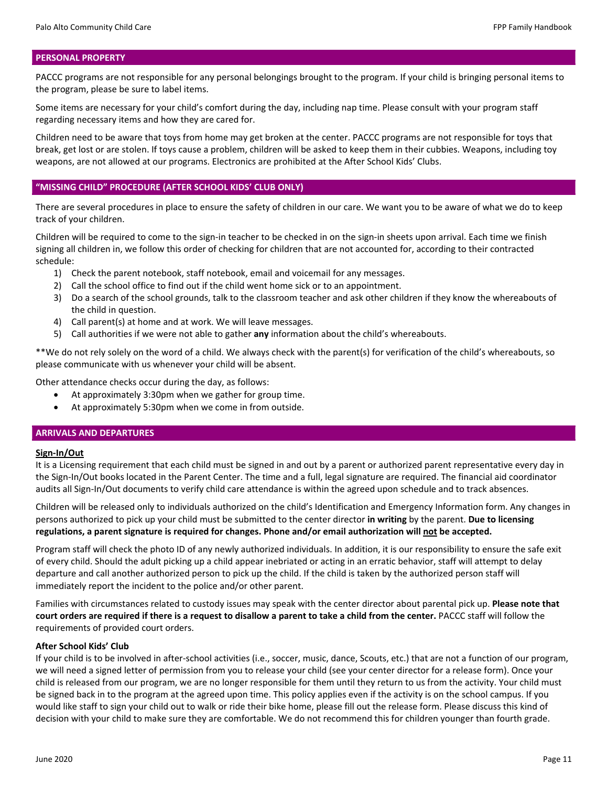#### **PERSONAL PROPERTY**

PACCC programs are not responsible for any personal belongings brought to the program. If your child is bringing personal items to the program, please be sure to label items.

Some items are necessary for your child's comfort during the day, including nap time. Please consult with your program staff regarding necessary items and how they are cared for.

Children need to be aware that toys from home may get broken at the center. PACCC programs are not responsible for toys that break, get lost or are stolen. If toys cause a problem, children will be asked to keep them in their cubbies. Weapons, including toy weapons, are not allowed at our programs. Electronics are prohibited at the After School Kids' Clubs.

#### **"MISSING CHILD" PROCEDURE (AFTER SCHOOL KIDS' CLUB ONLY)**

There are several procedures in place to ensure the safety of children in our care. We want you to be aware of what we do to keep track of your children.

Children will be required to come to the sign‐in teacher to be checked in on the sign‐in sheets upon arrival. Each time we finish signing all children in, we follow this order of checking for children that are not accounted for, according to their contracted schedule:

- 1) Check the parent notebook, staff notebook, email and voicemail for any messages.
- 2) Call the school office to find out if the child went home sick or to an appointment.
- 3) Do a search of the school grounds, talk to the classroom teacher and ask other children if they know the whereabouts of the child in question.
- 4) Call parent(s) at home and at work. We will leave messages.
- 5) Call authorities if we were not able to gather **any** information about the child's whereabouts.

\*\*We do not rely solely on the word of a child. We always check with the parent(s) for verification of the child's whereabouts, so please communicate with us whenever your child will be absent.

Other attendance checks occur during the day, as follows:

- At approximately 3:30pm when we gather for group time.
- At approximately 5:30pm when we come in from outside.

#### **ARRIVALS AND DEPARTURES**

#### **Sign‐In/Out**

It is a Licensing requirement that each child must be signed in and out by a parent or authorized parent representative every day in the Sign‐In/Out books located in the Parent Center. The time and a full, legal signature are required. The financial aid coordinator audits all Sign-In/Out documents to verify child care attendance is within the agreed upon schedule and to track absences.

Children will be released only to individuals authorized on the child's Identification and Emergency Information form. Any changes in persons authorized to pick up your child must be submitted to the center director **in writing** by the parent. **Due to licensing regulations, a parent signature is required for changes. Phone and/or email authorization will not be accepted.**

Program staff will check the photo ID of any newly authorized individuals. In addition, it is our responsibility to ensure the safe exit of every child. Should the adult picking up a child appear inebriated or acting in an erratic behavior, staff will attempt to delay departure and call another authorized person to pick up the child. If the child is taken by the authorized person staff will immediately report the incident to the police and/or other parent.

Families with circumstances related to custody issues may speak with the center director about parental pick up. **Please note that court orders are required if there is a request to disallow a parent to take a child from the center.** PACCC staff will follow the requirements of provided court orders.

#### **After School Kids' Club**

If your child is to be involved in after‐school activities (i.e., soccer, music, dance, Scouts, etc.) that are not a function of our program, we will need a signed letter of permission from you to release your child (see your center director for a release form). Once your child is released from our program, we are no longer responsible for them until they return to us from the activity. Your child must be signed back in to the program at the agreed upon time. This policy applies even if the activity is on the school campus. If you would like staff to sign your child out to walk or ride their bike home, please fill out the release form. Please discuss this kind of decision with your child to make sure they are comfortable. We do not recommend this for children younger than fourth grade.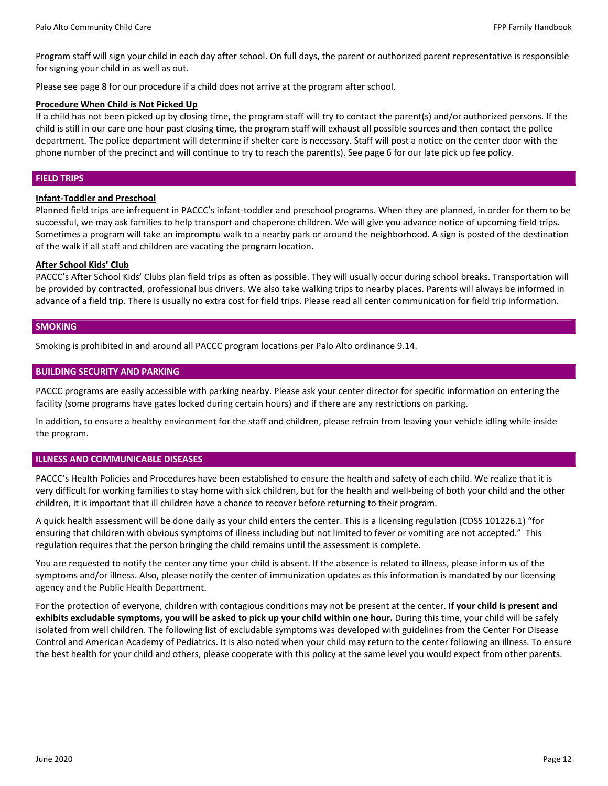Program staff will sign your child in each day after school. On full days, the parent or authorized parent representative is responsible for signing your child in as well as out.

Please see page 8 for our procedure if a child does not arrive at the program after school.

#### **Procedure When Child is Not Picked Up**

If a child has not been picked up by closing time, the program staff will try to contact the parent(s) and/or authorized persons. If the child is still in our care one hour past closing time, the program staff will exhaust all possible sources and then contact the police department. The police department will determine if shelter care is necessary. Staff will post a notice on the center door with the phone number of the precinct and will continue to try to reach the parent(s). See page 6 for our late pick up fee policy.

#### **FIELD TRIPS**

#### **Infant‐Toddler and Preschool**

Planned field trips are infrequent in PACCC's infant‐toddler and preschool programs. When they are planned, in order for them to be successful, we may ask families to help transport and chaperone children. We will give you advance notice of upcoming field trips. Sometimes a program will take an impromptu walk to a nearby park or around the neighborhood. A sign is posted of the destination of the walk if all staff and children are vacating the program location.

## **After School Kids' Club**

PACCC's After School Kids' Clubs plan field trips as often as possible. They will usually occur during school breaks. Transportation will be provided by contracted, professional bus drivers. We also take walking trips to nearby places. Parents will always be informed in advance of a field trip. There is usually no extra cost for field trips. Please read all center communication for field trip information.

## **SMOKING**

Smoking is prohibited in and around all PACCC program locations per Palo Alto ordinance 9.14.

## **BUILDING SECURITY AND PARKING**

PACCC programs are easily accessible with parking nearby. Please ask your center director for specific information on entering the facility (some programs have gates locked during certain hours) and if there are any restrictions on parking.

In addition, to ensure a healthy environment for the staff and children, please refrain from leaving your vehicle idling while inside the program.

## **ILLNESS AND COMMUNICABLE DISEASES**

PACCC's Health Policies and Procedures have been established to ensure the health and safety of each child. We realize that it is very difficult for working families to stay home with sick children, but for the health and well‐being of both your child and the other children, it is important that ill children have a chance to recover before returning to their program.

A quick health assessment will be done daily as your child enters the center. This is a licensing regulation (CDSS 101226.1) "for ensuring that children with obvious symptoms of illness including but not limited to fever or vomiting are not accepted." This regulation requires that the person bringing the child remains until the assessment is complete.

You are requested to notify the center any time your child is absent. If the absence is related to illness, please inform us of the symptoms and/or illness. Also, please notify the center of immunization updates as this information is mandated by our licensing agency and the Public Health Department.

For the protection of everyone, children with contagious conditions may not be present at the center. **If your child is present and exhibits excludable symptoms, you will be asked to pick up your child within one hour.** During this time, your child will be safely isolated from well children. The following list of excludable symptoms was developed with guidelines from the Center For Disease Control and American Academy of Pediatrics. It is also noted when your child may return to the center following an illness. To ensure the best health for your child and others, please cooperate with this policy at the same level you would expect from other parents.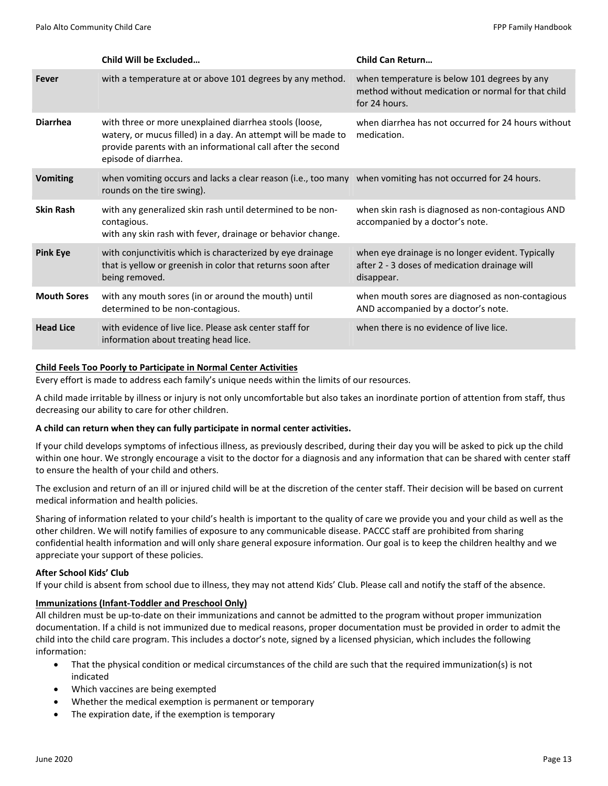|                    | Child Will be Excluded                                                                                                                                                                                         | <b>Child Can Return</b>                                                                                             |
|--------------------|----------------------------------------------------------------------------------------------------------------------------------------------------------------------------------------------------------------|---------------------------------------------------------------------------------------------------------------------|
| Fever              | with a temperature at or above 101 degrees by any method.                                                                                                                                                      | when temperature is below 101 degrees by any<br>method without medication or normal for that child<br>for 24 hours. |
| <b>Diarrhea</b>    | with three or more unexplained diarrhea stools (loose,<br>watery, or mucus filled) in a day. An attempt will be made to<br>provide parents with an informational call after the second<br>episode of diarrhea. | when diarrhea has not occurred for 24 hours without<br>medication.                                                  |
| <b>Vomiting</b>    | when vomiting occurs and lacks a clear reason (i.e., too many when vomiting has not occurred for 24 hours.<br>rounds on the tire swing).                                                                       |                                                                                                                     |
| <b>Skin Rash</b>   | with any generalized skin rash until determined to be non-<br>contagious.<br>with any skin rash with fever, drainage or behavior change.                                                                       | when skin rash is diagnosed as non-contagious AND<br>accompanied by a doctor's note.                                |
| <b>Pink Eye</b>    | with conjunctivitis which is characterized by eye drainage<br>that is yellow or greenish in color that returns soon after<br>being removed.                                                                    | when eye drainage is no longer evident. Typically<br>after 2 - 3 doses of medication drainage will<br>disappear.    |
| <b>Mouth Sores</b> | with any mouth sores (in or around the mouth) until<br>determined to be non-contagious.                                                                                                                        | when mouth sores are diagnosed as non-contagious<br>AND accompanied by a doctor's note.                             |
| <b>Head Lice</b>   | with evidence of live lice. Please ask center staff for<br>information about treating head lice.                                                                                                               | when there is no evidence of live lice.                                                                             |

## **Child Feels Too Poorly to Participate in Normal Center Activities**

Every effort is made to address each family's unique needs within the limits of our resources.

A child made irritable by illness or injury is not only uncomfortable but also takes an inordinate portion of attention from staff, thus decreasing our ability to care for other children.

## **A child can return when they can fully participate in normal center activities.**

If your child develops symptoms of infectious illness, as previously described, during their day you will be asked to pick up the child within one hour. We strongly encourage a visit to the doctor for a diagnosis and any information that can be shared with center staff to ensure the health of your child and others.

The exclusion and return of an ill or injured child will be at the discretion of the center staff. Their decision will be based on current medical information and health policies.

Sharing of information related to your child's health is important to the quality of care we provide you and your child as well as the other children. We will notify families of exposure to any communicable disease. PACCC staff are prohibited from sharing confidential health information and will only share general exposure information. Our goal is to keep the children healthy and we appreciate your support of these policies.

## **After School Kids' Club**

If your child is absent from school due to illness, they may not attend Kids' Club. Please call and notify the staff of the absence.

## **Immunizations (Infant‐Toddler and Preschool Only)**

All children must be up‐to‐date on their immunizations and cannot be admitted to the program without proper immunization documentation. If a child is not immunized due to medical reasons, proper documentation must be provided in order to admit the child into the child care program. This includes a doctor's note, signed by a licensed physician, which includes the following information:

- That the physical condition or medical circumstances of the child are such that the required immunization(s) is not indicated
- Which vaccines are being exempted
- Whether the medical exemption is permanent or temporary
- The expiration date, if the exemption is temporary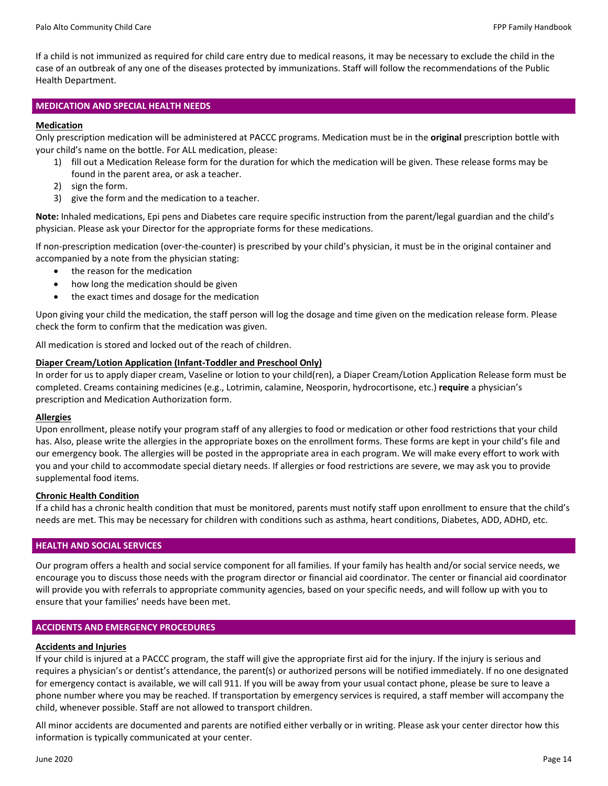If a child is not immunized as required for child care entry due to medical reasons, it may be necessary to exclude the child in the case of an outbreak of any one of the diseases protected by immunizations. Staff will follow the recommendations of the Public Health Department.

## **MEDICATION AND SPECIAL HEALTH NEEDS**

## **Medication**

Only prescription medication will be administered at PACCC programs. Medication must be in the **original** prescription bottle with your child's name on the bottle. For ALL medication, please:

- 1) fill out a Medication Release form for the duration for which the medication will be given. These release forms may be found in the parent area, or ask a teacher.
- 2) sign the form.
- 3) give the form and the medication to a teacher.

**Note:** Inhaled medications, Epi pens and Diabetes care require specific instruction from the parent/legal guardian and the child's physician. Please ask your Director for the appropriate forms for these medications.

If non-prescription medication (over-the-counter) is prescribed by your child's physician, it must be in the original container and accompanied by a note from the physician stating:

- the reason for the medication
- how long the medication should be given
- the exact times and dosage for the medication

Upon giving your child the medication, the staff person will log the dosage and time given on the medication release form. Please check the form to confirm that the medication was given.

All medication is stored and locked out of the reach of children.

## **Diaper Cream/Lotion Application (Infant‐Toddler and Preschool Only)**

In order for us to apply diaper cream, Vaseline or lotion to your child(ren), a Diaper Cream/Lotion Application Release form must be completed. Creams containing medicines (e.g., Lotrimin, calamine, Neosporin, hydrocortisone, etc.) **require** a physician's prescription and Medication Authorization form.

## **Allergies**

Upon enrollment, please notify your program staff of any allergies to food or medication or other food restrictions that your child has. Also, please write the allergies in the appropriate boxes on the enrollment forms. These forms are kept in your child's file and our emergency book. The allergies will be posted in the appropriate area in each program. We will make every effort to work with you and your child to accommodate special dietary needs. If allergies or food restrictions are severe, we may ask you to provide supplemental food items.

## **Chronic Health Condition**

If a child has a chronic health condition that must be monitored, parents must notify staff upon enrollment to ensure that the child's needs are met. This may be necessary for children with conditions such as asthma, heart conditions, Diabetes, ADD, ADHD, etc.

## **HEALTH AND SOCIAL SERVICES**

Our program offers a health and social service component for all families. If your family has health and/or social service needs, we encourage you to discuss those needs with the program director or financial aid coordinator. The center or financial aid coordinator will provide you with referrals to appropriate community agencies, based on your specific needs, and will follow up with you to ensure that your families' needs have been met.

## **ACCIDENTS AND EMERGENCY PROCEDURES**

## **Accidents and Injuries**

If your child is injured at a PACCC program, the staff will give the appropriate first aid for the injury. If the injury is serious and requires a physician's or dentist's attendance, the parent(s) or authorized persons will be notified immediately. If no one designated for emergency contact is available, we will call 911. If you will be away from your usual contact phone, please be sure to leave a phone number where you may be reached. If transportation by emergency services is required, a staff member will accompany the child, whenever possible. Staff are not allowed to transport children.

All minor accidents are documented and parents are notified either verbally or in writing. Please ask your center director how this information is typically communicated at your center.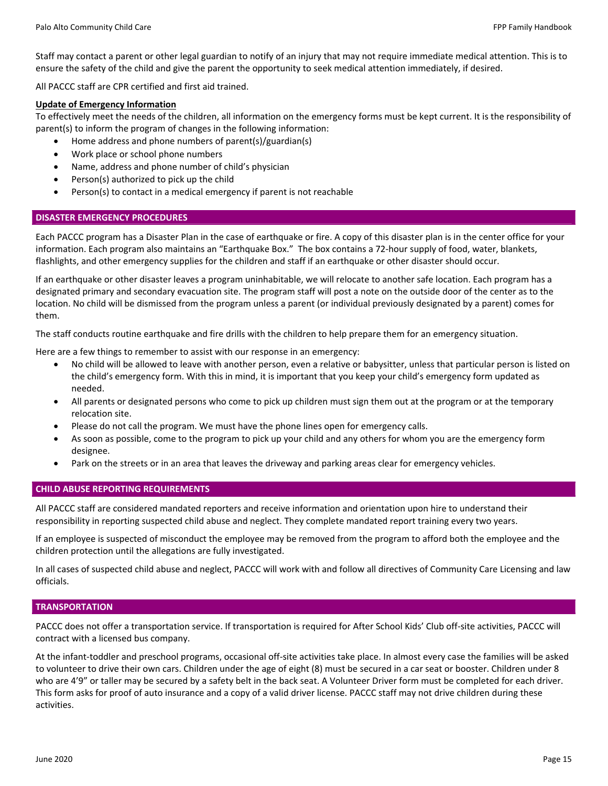Staff may contact a parent or other legal guardian to notify of an injury that may not require immediate medical attention. This is to ensure the safety of the child and give the parent the opportunity to seek medical attention immediately, if desired.

All PACCC staff are CPR certified and first aid trained.

## **Update of Emergency Information**

To effectively meet the needs of the children, all information on the emergency forms must be kept current. It is the responsibility of parent(s) to inform the program of changes in the following information:

- Home address and phone numbers of parent(s)/guardian(s)
- Work place or school phone numbers
- Name, address and phone number of child's physician
- Person(s) authorized to pick up the child
- Person(s) to contact in a medical emergency if parent is not reachable

## **DISASTER EMERGENCY PROCEDURES**

Each PACCC program has a Disaster Plan in the case of earthquake or fire. A copy of this disaster plan is in the center office for your information. Each program also maintains an "Earthquake Box." The box contains a 72‐hour supply of food, water, blankets, flashlights, and other emergency supplies for the children and staff if an earthquake or other disaster should occur.

If an earthquake or other disaster leaves a program uninhabitable, we will relocate to another safe location. Each program has a designated primary and secondary evacuation site. The program staff will post a note on the outside door of the center as to the location. No child will be dismissed from the program unless a parent (or individual previously designated by a parent) comes for them.

The staff conducts routine earthquake and fire drills with the children to help prepare them for an emergency situation.

Here are a few things to remember to assist with our response in an emergency:

- No child will be allowed to leave with another person, even a relative or babysitter, unless that particular person is listed on the child's emergency form. With this in mind, it is important that you keep your child's emergency form updated as needed.
- All parents or designated persons who come to pick up children must sign them out at the program or at the temporary relocation site.
- Please do not call the program. We must have the phone lines open for emergency calls.
- As soon as possible, come to the program to pick up your child and any others for whom you are the emergency form designee.
- Park on the streets or in an area that leaves the driveway and parking areas clear for emergency vehicles.

## **CHILD ABUSE REPORTING REQUIREMENTS**

All PACCC staff are considered mandated reporters and receive information and orientation upon hire to understand their responsibility in reporting suspected child abuse and neglect. They complete mandated report training every two years.

If an employee is suspected of misconduct the employee may be removed from the program to afford both the employee and the children protection until the allegations are fully investigated.

In all cases of suspected child abuse and neglect, PACCC will work with and follow all directives of Community Care Licensing and law officials.

## **TRANSPORTATION**

PACCC does not offer a transportation service. If transportation is required for After School Kids' Club off‐site activities, PACCC will contract with a licensed bus company.

At the infant‐toddler and preschool programs, occasional off‐site activities take place. In almost every case the families will be asked to volunteer to drive their own cars. Children under the age of eight (8) must be secured in a car seat or booster. Children under 8 who are 4'9" or taller may be secured by a safety belt in the back seat. A Volunteer Driver form must be completed for each driver. This form asks for proof of auto insurance and a copy of a valid driver license. PACCC staff may not drive children during these activities.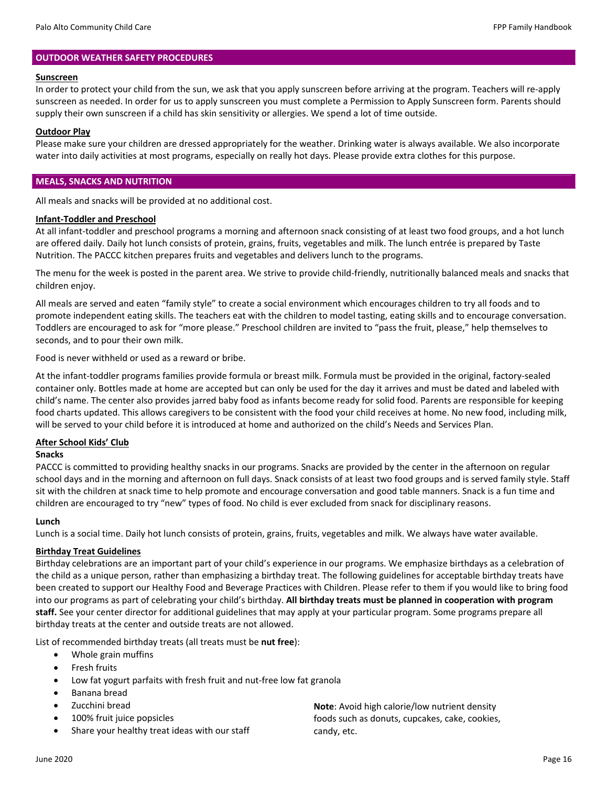## **OUTDOOR WEATHER SAFETY PROCEDURES**

#### **Sunscreen**

In order to protect your child from the sun, we ask that you apply sunscreen before arriving at the program. Teachers will re‐apply sunscreen as needed. In order for us to apply sunscreen you must complete a Permission to Apply Sunscreen form. Parents should supply their own sunscreen if a child has skin sensitivity or allergies. We spend a lot of time outside.

## **Outdoor Play**

Please make sure your children are dressed appropriately for the weather. Drinking water is always available. We also incorporate water into daily activities at most programs, especially on really hot days. Please provide extra clothes for this purpose.

## **MEALS, SNACKS AND NUTRITION**

All meals and snacks will be provided at no additional cost.

## **Infant‐Toddler and Preschool**

At all infant‐toddler and preschool programs a morning and afternoon snack consisting of at least two food groups, and a hot lunch are offered daily. Daily hot lunch consists of protein, grains, fruits, vegetables and milk. The lunch entrée is prepared by Taste Nutrition. The PACCC kitchen prepares fruits and vegetables and delivers lunch to the programs.

The menu for the week is posted in the parent area. We strive to provide child‐friendly, nutritionally balanced meals and snacks that children enjoy.

All meals are served and eaten "family style" to create a social environment which encourages children to try all foods and to promote independent eating skills. The teachers eat with the children to model tasting, eating skills and to encourage conversation. Toddlers are encouraged to ask for "more please." Preschool children are invited to "pass the fruit, please," help themselves to seconds, and to pour their own milk.

Food is never withheld or used as a reward or bribe.

At the infant-toddler programs families provide formula or breast milk. Formula must be provided in the original, factory-sealed container only. Bottles made at home are accepted but can only be used for the day it arrives and must be dated and labeled with child's name. The center also provides jarred baby food as infants become ready for solid food. Parents are responsible for keeping food charts updated. This allows caregivers to be consistent with the food your child receives at home. No new food, including milk, will be served to your child before it is introduced at home and authorized on the child's Needs and Services Plan.

## **After School Kids' Club**

## **Snacks**

PACCC is committed to providing healthy snacks in our programs. Snacks are provided by the center in the afternoon on regular school days and in the morning and afternoon on full days. Snack consists of at least two food groups and is served family style. Staff sit with the children at snack time to help promote and encourage conversation and good table manners. Snack is a fun time and children are encouraged to try "new" types of food. No child is ever excluded from snack for disciplinary reasons.

## **Lunch**

Lunch is a social time. Daily hot lunch consists of protein, grains, fruits, vegetables and milk. We always have water available.

## **Birthday Treat Guidelines**

Birthday celebrations are an important part of your child's experience in our programs. We emphasize birthdays as a celebration of the child as a unique person, rather than emphasizing a birthday treat. The following guidelines for acceptable birthday treats have been created to support our Healthy Food and Beverage Practices with Children. Please refer to them if you would like to bring food into our programs as part of celebrating your child's birthday. **All birthday treats must be planned in cooperation with program staff.** See your center director for additional guidelines that may apply at your particular program. Some programs prepare all birthday treats at the center and outside treats are not allowed.

List of recommended birthday treats (all treats must be **nut free**):

- Whole grain muffins
- Fresh fruits
- Low fat yogurt parfaits with fresh fruit and nut‐free low fat granola
- Banana bread
- Zucchini bread
- 100% fruit juice popsicles
- Share your healthy treat ideas with our staff

**Note**: Avoid high calorie/low nutrient density foods such as donuts, cupcakes, cake, cookies, candy, etc.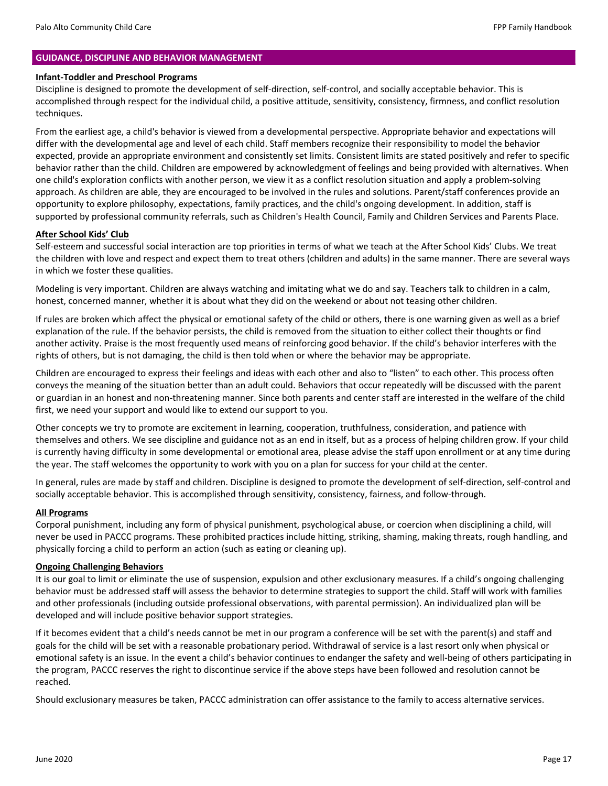## **GUIDANCE, DISCIPLINE AND BEHAVIOR MANAGEMENT**

#### **Infant‐Toddler and Preschool Programs**

Discipline is designed to promote the development of self‐direction, self‐control, and socially acceptable behavior. This is accomplished through respect for the individual child, a positive attitude, sensitivity, consistency, firmness, and conflict resolution techniques.

From the earliest age, a child's behavior is viewed from a developmental perspective. Appropriate behavior and expectations will differ with the developmental age and level of each child. Staff members recognize their responsibility to model the behavior expected, provide an appropriate environment and consistently set limits. Consistent limits are stated positively and refer to specific behavior rather than the child. Children are empowered by acknowledgment of feelings and being provided with alternatives. When one child's exploration conflicts with another person, we view it as a conflict resolution situation and apply a problem‐solving approach. As children are able, they are encouraged to be involved in the rules and solutions. Parent/staff conferences provide an opportunity to explore philosophy, expectations, family practices, and the child's ongoing development. In addition, staff is supported by professional community referrals, such as Children's Health Council, Family and Children Services and Parents Place.

## **After School Kids' Club**

Self‐esteem and successful social interaction are top priorities in terms of what we teach at the After School Kids' Clubs. We treat the children with love and respect and expect them to treat others (children and adults) in the same manner. There are several ways in which we foster these qualities.

Modeling is very important. Children are always watching and imitating what we do and say. Teachers talk to children in a calm, honest, concerned manner, whether it is about what they did on the weekend or about not teasing other children.

If rules are broken which affect the physical or emotional safety of the child or others, there is one warning given as well as a brief explanation of the rule. If the behavior persists, the child is removed from the situation to either collect their thoughts or find another activity. Praise is the most frequently used means of reinforcing good behavior. If the child's behavior interferes with the rights of others, but is not damaging, the child is then told when or where the behavior may be appropriate.

Children are encouraged to express their feelings and ideas with each other and also to "listen" to each other. This process often conveys the meaning of the situation better than an adult could. Behaviors that occur repeatedly will be discussed with the parent or guardian in an honest and non‐threatening manner. Since both parents and center staff are interested in the welfare of the child first, we need your support and would like to extend our support to you.

Other concepts we try to promote are excitement in learning, cooperation, truthfulness, consideration, and patience with themselves and others. We see discipline and guidance not as an end in itself, but as a process of helping children grow. If your child is currently having difficulty in some developmental or emotional area, please advise the staff upon enrollment or at any time during the year. The staff welcomes the opportunity to work with you on a plan for success for your child at the center.

In general, rules are made by staff and children. Discipline is designed to promote the development of self‐direction, self‐control and socially acceptable behavior. This is accomplished through sensitivity, consistency, fairness, and follow‐through.

## **All Programs**

Corporal punishment, including any form of physical punishment, psychological abuse, or coercion when disciplining a child, will never be used in PACCC programs. These prohibited practices include hitting, striking, shaming, making threats, rough handling, and physically forcing a child to perform an action (such as eating or cleaning up).

#### **Ongoing Challenging Behaviors**

It is our goal to limit or eliminate the use of suspension, expulsion and other exclusionary measures. If a child's ongoing challenging behavior must be addressed staff will assess the behavior to determine strategies to support the child. Staff will work with families and other professionals (including outside professional observations, with parental permission). An individualized plan will be developed and will include positive behavior support strategies.

If it becomes evident that a child's needs cannot be met in our program a conference will be set with the parent(s) and staff and goals for the child will be set with a reasonable probationary period. Withdrawal of service is a last resort only when physical or emotional safety is an issue. In the event a child's behavior continues to endanger the safety and well‐being of others participating in the program, PACCC reserves the right to discontinue service if the above steps have been followed and resolution cannot be reached.

Should exclusionary measures be taken, PACCC administration can offer assistance to the family to access alternative services.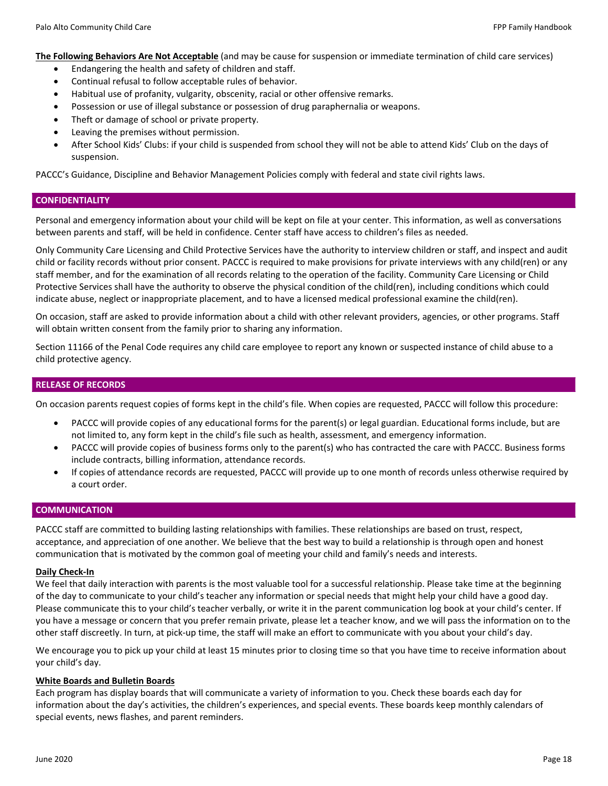**The Following Behaviors Are Not Acceptable** (and may be cause for suspension or immediate termination of child care services)

- Endangering the health and safety of children and staff.
- Continual refusal to follow acceptable rules of behavior.
- Habitual use of profanity, vulgarity, obscenity, racial or other offensive remarks.
- Possession or use of illegal substance or possession of drug paraphernalia or weapons.
- Theft or damage of school or private property.
- Leaving the premises without permission.
- After School Kids' Clubs: if your child is suspended from school they will not be able to attend Kids' Club on the days of suspension.

PACCC's Guidance, Discipline and Behavior Management Policies comply with federal and state civil rights laws.

## **CONFIDENTIALITY**

Personal and emergency information about your child will be kept on file at your center. This information, as well as conversations between parents and staff, will be held in confidence. Center staff have access to children's files as needed.

Only Community Care Licensing and Child Protective Services have the authority to interview children or staff, and inspect and audit child or facility records without prior consent. PACCC is required to make provisions for private interviews with any child(ren) or any staff member, and for the examination of all records relating to the operation of the facility. Community Care Licensing or Child Protective Services shall have the authority to observe the physical condition of the child(ren), including conditions which could indicate abuse, neglect or inappropriate placement, and to have a licensed medical professional examine the child(ren).

On occasion, staff are asked to provide information about a child with other relevant providers, agencies, or other programs. Staff will obtain written consent from the family prior to sharing any information.

Section 11166 of the Penal Code requires any child care employee to report any known or suspected instance of child abuse to a child protective agency.

## **RELEASE OF RECORDS**

On occasion parents request copies of forms kept in the child's file. When copies are requested, PACCC will follow this procedure:

- PACCC will provide copies of any educational forms for the parent(s) or legal guardian. Educational forms include, but are not limited to, any form kept in the child's file such as health, assessment, and emergency information.
- PACCC will provide copies of business forms only to the parent(s) who has contracted the care with PACCC. Business forms include contracts, billing information, attendance records.
- If copies of attendance records are requested, PACCC will provide up to one month of records unless otherwise required by a court order.

## **COMMUNICATION**

PACCC staff are committed to building lasting relationships with families. These relationships are based on trust, respect, acceptance, and appreciation of one another. We believe that the best way to build a relationship is through open and honest communication that is motivated by the common goal of meeting your child and family's needs and interests.

## **Daily Check‐In**

We feel that daily interaction with parents is the most valuable tool for a successful relationship. Please take time at the beginning of the day to communicate to your child's teacher any information or special needs that might help your child have a good day. Please communicate this to your child's teacher verbally, or write it in the parent communication log book at your child's center. If you have a message or concern that you prefer remain private, please let a teacher know, and we will pass the information on to the other staff discreetly. In turn, at pick‐up time, the staff will make an effort to communicate with you about your child's day.

We encourage you to pick up your child at least 15 minutes prior to closing time so that you have time to receive information about your child's day.

## **White Boards and Bulletin Boards**

Each program has display boards that will communicate a variety of information to you. Check these boards each day for information about the day's activities, the children's experiences, and special events. These boards keep monthly calendars of special events, news flashes, and parent reminders.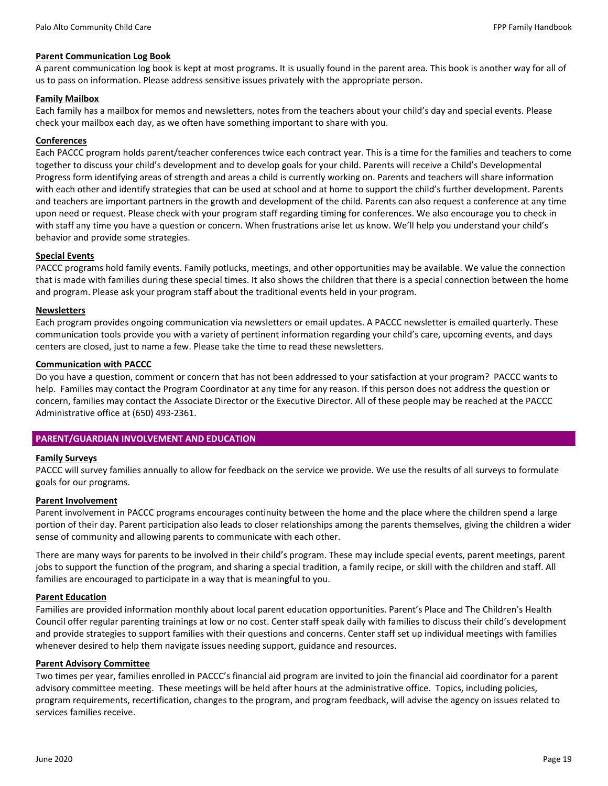## **Parent Communication Log Book**

A parent communication log book is kept at most programs. It is usually found in the parent area. This book is another way for all of us to pass on information. Please address sensitive issues privately with the appropriate person.

## **Family Mailbox**

Each family has a mailbox for memos and newsletters, notes from the teachers about your child's day and special events. Please check your mailbox each day, as we often have something important to share with you.

## **Conferences**

Each PACCC program holds parent/teacher conferences twice each contract year. This is a time for the families and teachers to come together to discuss your child's development and to develop goals for your child. Parents will receive a Child's Developmental Progress form identifying areas of strength and areas a child is currently working on. Parents and teachers will share information with each other and identify strategies that can be used at school and at home to support the child's further development. Parents and teachers are important partners in the growth and development of the child. Parents can also request a conference at any time upon need or request. Please check with your program staff regarding timing for conferences. We also encourage you to check in with staff any time you have a question or concern. When frustrations arise let us know. We'll help you understand your child's behavior and provide some strategies.

## **Special Events**

PACCC programs hold family events. Family potlucks, meetings, and other opportunities may be available. We value the connection that is made with families during these special times. It also shows the children that there is a special connection between the home and program. Please ask your program staff about the traditional events held in your program.

## **Newsletters**

Each program provides ongoing communication via newsletters or email updates. A PACCC newsletter is emailed quarterly. These communication tools provide you with a variety of pertinent information regarding your child's care, upcoming events, and days centers are closed, just to name a few. Please take the time to read these newsletters.

## **Communication with PACCC**

Do you have a question, comment or concern that has not been addressed to your satisfaction at your program? PACCC wants to help. Families may contact the Program Coordinator at any time for any reason. If this person does not address the question or concern, families may contact the Associate Director or the Executive Director. All of these people may be reached at the PACCC Administrative office at (650) 493‐2361.

## **PARENT/GUARDIAN INVOLVEMENT AND EDUCATION**

## **Family Surveys**

PACCC will survey families annually to allow for feedback on the service we provide. We use the results of all surveys to formulate goals for our programs.

## **Parent Involvement**

Parent involvement in PACCC programs encourages continuity between the home and the place where the children spend a large portion of their day. Parent participation also leads to closer relationships among the parents themselves, giving the children a wider sense of community and allowing parents to communicate with each other.

There are many ways for parents to be involved in their child's program. These may include special events, parent meetings, parent jobs to support the function of the program, and sharing a special tradition, a family recipe, or skill with the children and staff. All families are encouraged to participate in a way that is meaningful to you.

## **Parent Education**

Families are provided information monthly about local parent education opportunities. Parent's Place and The Children's Health Council offer regular parenting trainings at low or no cost. Center staff speak daily with families to discuss their child's development and provide strategies to support families with their questions and concerns. Center staff set up individual meetings with families whenever desired to help them navigate issues needing support, guidance and resources.

## **Parent Advisory Committee**

Two times per year, families enrolled in PACCC's financial aid program are invited to join the financial aid coordinator for a parent advisory committee meeting. These meetings will be held after hours at the administrative office. Topics, including policies, program requirements, recertification, changes to the program, and program feedback, will advise the agency on issues related to services families receive.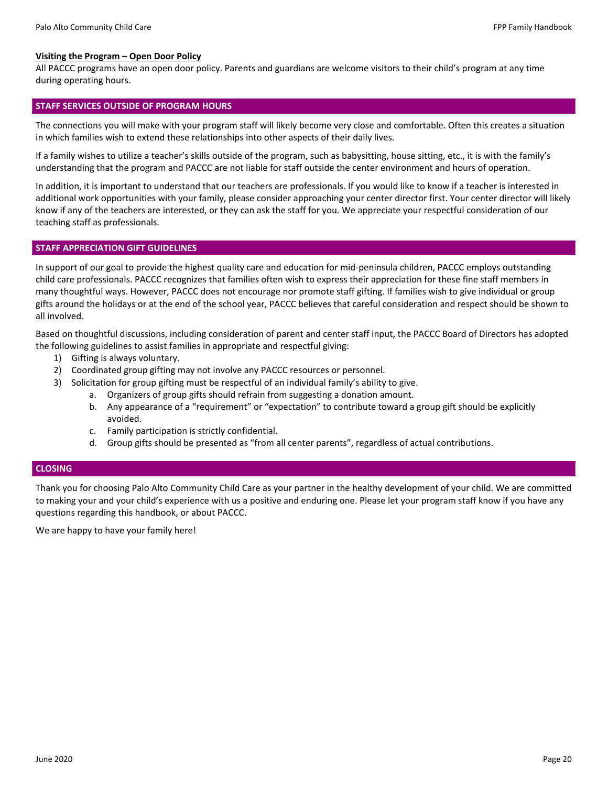#### **Visiting the Program – Open Door Policy**

All PACCC programs have an open door policy. Parents and guardians are welcome visitors to their child's program at any time during operating hours.

#### **STAFF SERVICES OUTSIDE OF PROGRAM HOURS**

The connections you will make with your program staff will likely become very close and comfortable. Often this creates a situation in which families wish to extend these relationships into other aspects of their daily lives.

If a family wishes to utilize a teacher's skills outside of the program, such as babysitting, house sitting, etc., it is with the family's understanding that the program and PACCC are not liable for staff outside the center environment and hours of operation.

In addition, it is important to understand that our teachers are professionals. If you would like to know if a teacher is interested in additional work opportunities with your family, please consider approaching your center director first. Your center director will likely know if any of the teachers are interested, or they can ask the staff for you. We appreciate your respectful consideration of our teaching staff as professionals.

## **STAFF APPRECIATION GIFT GUIDELINES**

In support of our goal to provide the highest quality care and education for mid‐peninsula children, PACCC employs outstanding child care professionals. PACCC recognizes that families often wish to express their appreciation for these fine staff members in many thoughtful ways. However, PACCC does not encourage nor promote staff gifting. If families wish to give individual or group gifts around the holidays or at the end of the school year, PACCC believes that careful consideration and respect should be shown to all involved.

Based on thoughtful discussions, including consideration of parent and center staff input, the PACCC Board of Directors has adopted the following guidelines to assist families in appropriate and respectful giving:

- 1) Gifting is always voluntary.
- 2) Coordinated group gifting may not involve any PACCC resources or personnel.
- 3) Solicitation for group gifting must be respectful of an individual family's ability to give.
	- a. Organizers of group gifts should refrain from suggesting a donation amount.
	- b. Any appearance of a "requirement" or "expectation" to contribute toward a group gift should be explicitly avoided.
	- c. Family participation is strictly confidential.
	- d. Group gifts should be presented as "from all center parents", regardless of actual contributions.

## **CLOSING**

Thank you for choosing Palo Alto Community Child Care as your partner in the healthy development of your child. We are committed to making your and your child's experience with us a positive and enduring one. Please let your program staff know if you have any questions regarding this handbook, or about PACCC.

We are happy to have your family here!